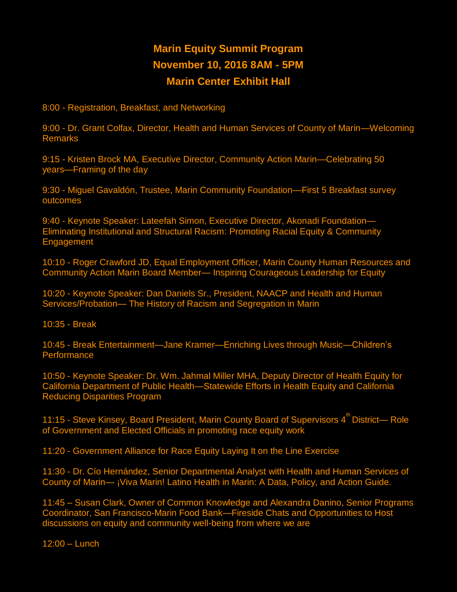## **Marin Equity Summit Program November 10, 2016 8AM - 5PM Marin Center Exhibit Hall**

**8:00 - Registration, Breakfast, and Networking**

**9:00 - Dr. Grant Colfax, Director, Health and Human Services of County of Marin—Welcoming Remarks**

**9:15 - Kristen Brock MA, Executive Director, Community Action Marin—Celebrating 50 years—Framing of the day**

**9:30 - Miguel Gavaldón, Trustee, Marin Community Foundation—First 5 Breakfast survey outcomes**

**9:40 - Keynote Speaker: Lateefah Simon, Executive Director, Akonadi Foundation— Eliminating Institutional and Structural Racism: Promoting Racial Equity & Community Engagement**

**10:10 - Roger Crawford JD, Equal Employment Officer, Marin County Human Resources and Community Action Marin Board Member— Inspiring Courageous Leadership for Equity**

**10:20 - Keynote Speaker: Dan Daniels Sr., President, NAACP and Health and Human Services/Probation— The History of Racism and Segregation in Marin**

**10:35 - Break**

**10:45 - Break Entertainment—Jane Kramer—Enriching Lives through Music—Children's Performance**

**10:50 - Keynote Speaker: Dr. Wm. Jahmal Miller MHA, Deputy Director of Health Equity for California Department of Public Health—Statewide Efforts in Health Equity and California Reducing Disparities Program**

**11:15 - Steve Kinsey, Board President, Marin County Board of Supervisors 4th District— Role of Government and Elected Officials in promoting race equity work**

**11:20 - Government Alliance for Race Equity Laying It on the Line Exercise**

**11:30 - Dr. Cío Hernández, Senior Departmental Analyst with Health and Human Services of County of Marin— ¡Viva Marin! Latino Health in Marin: A Data, Policy, and Action Guide.**

**11:45 – Susan Clark, Owner of Common Knowledge and Alexandra Danino, Senior Programs Coordinator, San Francisco-Marin Food Bank—Fireside Chats and Opportunities to Host discussions on equity and community well-being from where we are**

**12:00 – Lunch**